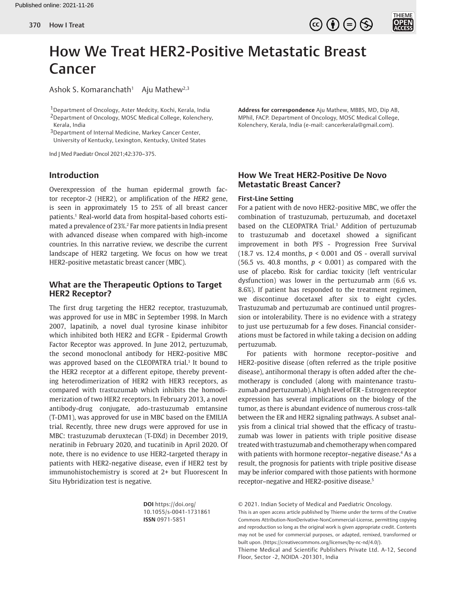

# How We Treat HER2-Positive Metastatic Breast Cancer

Ashok S. Komaranchath<sup>1</sup> Aju Mathew<sup>2,3</sup>

1Department of Oncology, Aster Medcity, Kochi, Kerala, India 2Department of Oncology, MOSC Medical College, Kolenchery, Kerala, India

3Department of Internal Medicine, Markey Cancer Center, University of Kentucky, Lexington, Kentucky, United States

Ind J Med Paediatr Oncol 2021;42:370–375.

## **Introduction**

Overexpression of the human epidermal growth factor receptor-2 (HER2), or amplification of the *HER2* gene, is seen in approximately 15 to 25% of all breast cancer patients.1 Real-world data from hospital-based cohorts estimated a prevalence of 23%.2 Far more patients in India present with advanced disease when compared with high-income countries. In this narrative review, we describe the current landscape of HER2 targeting. We focus on how we treat HER2-positive metastatic breast cancer (MBC).

# **What are the Therapeutic Options to Target HER2 Receptor?**

The first drug targeting the HER2 receptor, trastuzumab, was approved for use in MBC in September 1998. In March 2007, lapatinib, a novel dual tyrosine kinase inhibitor which inhibited both HER2 and EGFR - Epidermal Growth Factor Receptor was approved. In June 2012, pertuzumab, the second monoclonal antibody for HER2-positive MBC was approved based on the CLEOPATRA trial.<sup>3</sup> It bound to the HER2 receptor at a different epitope, thereby preventing heterodimerization of HER2 with HER3 receptors, as compared with trastuzumab which inhibits the homodimerization of two HER2 receptors. In February 2013, a novel antibody-drug conjugate, ado-trastuzumab emtansine (T-DM1), was approved for use in MBC based on the EMILIA trial. Recently, three new drugs were approved for use in MBC: trastuzumab deruxtecan (T-DXd) in December 2019, neratinib in February 2020, and tucatinib in April 2020. Of note, there is no evidence to use HER2-targeted therapy in patients with HER2-negative disease, even if HER2 test by immunohistochemistry is scored at 2+ but Fluorescent In Situ Hybridization test is negative.

> **DOI** https://doi.org/ 10.1055/s-0041-1731861 **ISSN** 0971-5851

**Address for correspondence** Aju Mathew, MBBS, MD, Dip AB, MPhil, FACP. Department of Oncology, MOSC Medical College, Kolenchery, Kerala, India (e-mail: cancerkerala@gmail.com).

# **How We Treat HER2-Positive De Novo Metastatic Breast Cancer?**

## **First-Line Setting**

For a patient with de novo HER2-positive MBC, we offer the combination of trastuzumab, pertuzumab, and docetaxel based on the CLEOPATRA Trial.<sup>3</sup> Addition of pertuzumab to trastuzumab and docetaxel showed a significant improvement in both PFS - Progression Free Survival (18.7 vs. 12.4 months,  $p < 0.001$  and OS - overall survival (56.5 vs. 40.8 months,  $p < 0.001$ ) as compared with the use of placebo. Risk for cardiac toxicity (left ventricular dysfunction) was lower in the pertuzumab arm (6.6 vs. 8.6%). If patient has responded to the treatment regimen, we discontinue docetaxel after six to eight cycles. Trastuzumab and pertuzumab are continued until progression or intolerability. There is no evidence with a strategy to just use pertuzumab for a few doses. Financial considerations must be factored in while taking a decision on adding pertuzumab.

For patients with hormone receptor–positive and HER2-positive disease (often referred as the triple positive disease), antihormonal therapy is often added after the chemotherapy is concluded (along with maintenance trastuzumab and pertuzumab). A high level of ER - Estrogen receptor expression has several implications on the biology of the tumor, as there is abundant evidence of numerous cross-talk between the ER and HER2 signaling pathways. A subset analysis from a clinical trial showed that the efficacy of trastuzumab was lower in patients with triple positive disease treated with trastuzumab and chemotherapy when compared with patients with hormone receptor–negative disease.<sup>4</sup> As a result, the prognosis for patients with triple positive disease may be inferior compared with those patients with hormone receptor–negative and HER2-positive disease.5

© 2021. Indian Society of Medical and Paediatric Oncology.

This is an open access article published by Thieme under the terms of the Creative Commons Attribution-NonDerivative-NonCommercial-License, permitting copying and reproduction so long as the original work is given appropriate credit. Contents may not be used for commercial purposes, or adapted, remixed, transformed or built upon. (https://creativecommons.org/licenses/by-nc-nd/4.0/).

Thieme Medical and Scientific Publishers Private Ltd. A-12, Second Floor, Sector -2, NOIDA -201301, India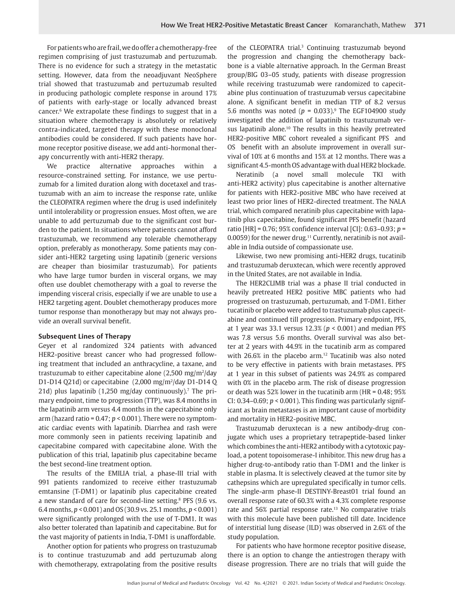For patients who are frail, we do offer a chemotherapy-free regimen comprising of just trastuzumab and pertuzumab. There is no evidence for such a strategy in the metastatic setting. However, data from the neoadjuvant NeoSphere trial showed that trastuzumab and pertuzumab resulted in producing pathologic complete response in around 17% of patients with early-stage or locally advanced breast cancer.6 We extrapolate these findings to suggest that in a situation where chemotherapy is absolutely or relatively contra-indicated, targeted therapy with these monoclonal antibodies could be considered. If such patients have hormone receptor positive disease, we add anti-hormonal therapy concurrently with anti-HER2 therapy.

We practice alternative approaches within a resource-constrained setting. For instance, we use pertuzumab for a limited duration along with docetaxel and trastuzumab with an aim to increase the response rate, unlike the CLEOPATRA regimen where the drug is used indefinitely until intolerability or progression ensues. Most often, we are unable to add pertuzumab due to the significant cost burden to the patient. In situations where patients cannot afford trastuzumab, we recommend any tolerable chemotherapy option, preferably as monotherapy. Some patients may consider anti-HER2 targeting using lapatinib (generic versions are cheaper than biosimilar trastuzumab). For patients who have large tumor burden in visceral organs, we may often use doublet chemotherapy with a goal to reverse the impending visceral crisis, especially if we are unable to use a HER2 targeting agent. Doublet chemotherapy produces more tumor response than monotherapy but may not always provide an overall survival benefit.

## **Subsequent Lines of Therapy**

Geyer et al randomized 324 patients with advanced HER2-positive breast cancer who had progressed following treatment that included an anthracycline, a taxane, and trastuzumab to either capecitabine alone  $(2,500 \text{ mg/m}^2/\text{day})$ D1-D14 Q21d) or capecitabine (2,000 mg/m2 /day D1-D14 Q 21d) plus lapatinib  $(1,250 \text{ mg/day}$  continuously).<sup>7</sup> The primary endpoint, time to progression (TTP), was 8.4 months in the lapatinib arm versus 4.4 months in the capecitabine only arm (hazard ratio = 0.47; *p* < 0.001). There were no symptomatic cardiac events with lapatinib. Diarrhea and rash were more commonly seen in patients receiving lapatinib and capecitabine compared with capecitabine alone. With the publication of this trial, lapatinib plus capecitabine became the best second-line treatment option.

The results of the EMILIA trial, a phase-III trial with 991 patients randomized to receive either trastuzumab emtansine (T-DM1) or lapatinib plus capecitabine created a new standard of care for second-line setting.<sup>8</sup> PFS (9.6 vs. 6.4 months, *p* < 0.001) and OS (30.9 vs. 25.1 months, *p* < 0.001) were significantly prolonged with the use of T-DM1. It was also better tolerated than lapatinib and capecitabine. But for the vast majority of patients in India, T-DM1 is unaffordable.

Another option for patients who progress on trastuzumab is to continue trastuzumab and add pertuzumab along with chemotherapy, extrapolating from the positive results

of the CLEOPATRA trial.<sup>3</sup> Continuing trastuzumab beyond the progression and changing the chemotherapy backbone is a viable alternative approach. In the German Breast group/BIG 03–05 study, patients with disease progression while receiving trastuzumab were randomized to capecitabine plus continuation of trastuzumab versus capecitabine alone. A significant benefit in median TTP of 8.2 versus 5.6 months was noted ( $p = 0.033$ ).<sup>9</sup> The EGF104900 study investigated the addition of lapatinib to trastuzumab versus lapatinib alone.<sup>10</sup> The results in this heavily pretreated HER2-positive MBC cohort revealed a significant PFS and OS benefit with an absolute improvement in overall survival of 10% at 6 months and 15% at 12 months. There was a significant 4.5-month OS advantage with dual HER2 blockade.

Neratinib (a novel small molecule TKI with anti-HER2 activity) plus capecitabine is another alternative for patients with HER2-positive MBC who have received at least two prior lines of HER2-directed treatment. The NALA trial, which compared neratinib plus capecitabine with lapatinib plus capecitabine, found significant PFS benefit (hazard ratio [HR] = 0.76; 95% confidence interval [CI]: 0.63–0.93; *p* = 0.0059) for the newer drug.<sup>11</sup> Currently, neratinib is not available in India outside of compassionate use.

Likewise, two new promising anti-HER2 drugs, tucatinib and trastuzumab deruxtecan, which were recently approved in the United States, are not available in India.

The HER2CLIMB trial was a phase II trial conducted in heavily pretreated HER2 positive MBC patients who had progressed on trastuzumab, pertuzumab, and T-DM1. Either tucatinib or placebo were added to trastuzumab plus capecitabine and continued till progression. Primary endpoint, PFS, at 1 year was 33.1 versus 12.3% (*p* < 0.001) and median PFS was 7.8 versus 5.6 months. Overall survival was also better at 2 years with 44.9% in the tucatinib arm as compared with  $26.6\%$  in the placebo arm.<sup>12</sup> Tucatinib was also noted to be very effective in patients with brain metastases. PFS at 1 year in this subset of patients was 24.9% as compared with 0% in the placebo arm. The risk of disease progression or death was 52% lower in the tucatinib arm (HR = 0.48; 95% CI:  $0.34-0.69$ ;  $p < 0.001$ ). This finding was particularly significant as brain metastases is an important cause of morbidity and mortality in HER2-positive MBC.

Trastuzumab deruxtecan is a new antibody-drug conjugate which uses a proprietary tetrapeptide-based linker which combines the anti-HER2 antibody with a cytotoxic payload, a potent topoisomerase-I inhibitor. This new drug has a higher drug-to-antibody ratio than T-DM1 and the linker is stable in plasma. It is selectively cleaved at the tumor site by cathepsins which are upregulated specifically in tumor cells. The single-arm phase-II DESTINY-Breast01 trial found an overall response rate of 60.3% with a 4.3% complete response rate and 56% partial response rate.<sup>13</sup> No comparative trials with this molecule have been published till date. Incidence of interstitial lung disease (ILD) was observed in 2.6% of the study population.

For patients who have hormone receptor positive disease, there is an option to change the antiestrogen therapy with disease progression. There are no trials that will guide the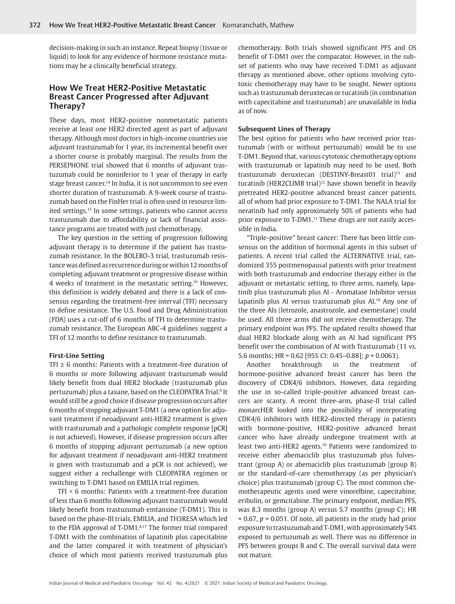decision-making in such an instance. Repeat biopsy (tissue or liquid) to look for any evidence of hormone resistance mutations may be a clinically beneficial strategy.

## **How We Treat HER2-Positive Metastatic Breast Cancer Progressed after Adjuvant Therapy?**

These days, most HER2-positive nonmetastatic patients receive at least one HER2 directed agent as part of adjuvant therapy. Although most doctors in high-income countries use adjuvant trastuzumab for 1 year, its incremental benefit over a shorter course is probably marginal. The results from the PERSEPHONE trial showed that 6 months of adjuvant trastuzumab could be noninferior to 1 year of therapy in early stage breast cancer.14 In India, it is not uncommon to see even shorter duration of trastuzumab. A 9-week course of trastuzumab based on the FinHer trial is often used in resource limited settings.15 In some settings, patients who cannot access trastuzumab due to affordability or lack of financial assistance programs are treated with just chemotherapy.

The key question in the setting of progression following adjuvant therapy is to determine if the patient has trastuzumab resistance. In the BOLERO-3 trial, trastuzumab resistance was defined as recurrence during or within 12 months of completing adjuvant treatment or progressive disease within 4 weeks of treatment in the metastatic setting.16 However, this definition is widely debated and there is a lack of consensus regarding the treatment-free interval (TFI) necessary to define resistance. The U.S. Food and Drug Administration (FDA) uses a cut-off of 6 months of TFI to determine trastuzumab resistance. The European ABC-4 guidelines suggest a TFI of 12 months to define resistance to trastuzumab.

### **First-Line Setting**

TFI  $\geq 6$  months: Patients with a treatment-free duration of 6 months or more following adjuvant trastuzumab would likely benefit from dual HER2 blockade (trastuzumab plus pertuzumab) plus a taxane, based on the CLEOPATRA Trial.<sup>9</sup> It would still be a good choice if disease progression occurs after 6 months of stopping adjuvant T-DM1 (a new option for adjuvant treatment if neoadjuvant anti-HER2 treatment is given with trastuzumab and a pathologic complete response [pCR] is not achieved). However, if disease progression occurs after 6 months of stopping adjuvant pertuzumab (a new option for adjuvant treatment if neoadjuvant anti-HER2 treatment is given with trastuzumab and a pCR is not achieved), we suggest either a rechallenge with CLEOPATRA regimen or switching to T-DM1 based on EMILIA trial regimen.

TFI < 6 months: Patients with a treatment-free duration of less than 6 months following adjuvant trastuzumab would likely benefit from trastuzumab emtansine (T-DM1). This is based on the phase-III trials, EMILIA, and TH3RESA which led to the FDA approval of T-DM1.8,17 The former trial compared T-DM1 with the combination of lapatinib plus capecitabine and the latter compared it with treatment of physician's choice of which most patients received trastuzumab plus

chemotherapy. Both trials showed significant PFS and OS benefit of T-DM1 over the comparator. However, in the subset of patients who may have received T-DM1 as adjuvant therapy as mentioned above, other options involving cytotoxic chemotherapy may have to be sought. Newer options such as trastuzumab deruxtecan or tucatinib (in combination with capecitabine and trastuzumab) are unavailable in India as of now.

## **Subsequent Lines of Therapy**

The best option for patients who have received prior trastuzumab (with or without pertuzumab) would be to use T-DM1. Beyond that, various cytotoxic chemotherapy options with trastuzumab or lapatinib may need to be used. Both trastuzumab deruxtecan (DESTINY-Breast01 trial)<sup>13</sup> and tucatinib (HER2CLIMB trial)<sup>12</sup> have shown benefit in heavily pretreated HER2-positive advanced breast cancer patients, all of whom had prior exposure to T-DM1. The NALA trial for neratinib had only approximately 50% of patients who had prior exposure to T-DM1.<sup>11</sup> These drugs are not easily accessible in India.

"Triple-positive" breast cancer: There has been little consensus on the addition of hormonal agents in this subset of patients. A recent trial called the ALTERNATIVE trial, randomized 355 postmenopausal patients with prior treatment with both trastuzumab and endocrine therapy either in the adjuvant or metastatic setting, to three arms, namely, lapatinib plus trastuzumab plus AI - Aromatase Inhibitor versus lapatinib plus AI versus trastuzumab plus AI.18 Any one of the three AIs (letrozole, anastrozole, and exemestane) could be used. All three arms did not receive chemotherapy. The primary endpoint was PFS. The updated results showed that dual HER2 blockade along with an AI had significant PFS benefit over the combination of AI with Trastuzumab (11 vs. 5.6 months; HR = 0.62 [95% CI: 0.45–0.88]; *p* = 0.0063).

Another breakthrough in the treatment of hormone-positive advanced breast cancer has been the discovery of CDK4/6 inhibitors. However, data regarding the use in so-called triple-positive advanced breast cancers are scanty. A recent three-arm, phase-II trial called monarcHER looked into the possibility of incorporating CDK4/6 inhibitors with HER2-directed therapy in patients with hormone-positive, HER2-positive advanced breast cancer who have already undergone treatment with at least two anti-HER2 agents.<sup>19</sup> Patients were randomized to receive either abemaciclib plus trastuzumab plus fulvestrant (group A) or abemaciclib plus trastuzumab (group B) or the standard-of-care chemotherapy (as per physician's choice) plus trastuzumab (group C). The most common chemotherapeutic agents used were vinorelbine, capecitabine, eribulin, or gemcitabine. The primary endpoint, median PFS, was 8.3 months (group A) versus 5.7 months (group C); HR = 0.67, *p* = 0.051. Of note, all patients in the study had prior exposure to trastuzumab and T-DM1, with approximately 54% exposed to pertuzumab as well. There was no difference in PFS between groups B and C. The overall survival data were not mature.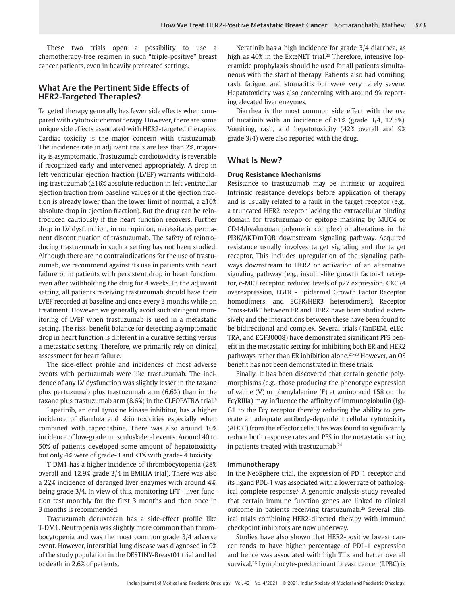These two trials open a possibility to use a chemotherapy-free regimen in such "triple-positive" breast cancer patients, even in heavily pretreated settings.

# **What Are the Pertinent Side Effects of HER2-Targeted Therapies?**

Targeted therapy generally has fewer side effects when compared with cytotoxic chemotherapy. However, there are some unique side effects associated with HER2-targeted therapies. Cardiac toxicity is the major concern with trastuzumab. The incidence rate in adjuvant trials are less than 2%, majority is asymptomatic. Trastuzumab cardiotoxicity is reversible if recognized early and intervened appropriately. A drop in left ventricular ejection fraction (LVEF) warrants withholding trastuzumab (≥16% absolute reduction in left ventricular ejection fraction from baseline values or if the ejection fraction is already lower than the lower limit of normal, a ≥10% absolute drop in ejection fraction). But the drug can be reintroduced cautiously if the heart function recovers. Further drop in LV dysfunction, in our opinion, necessitates permanent discontinuation of trastuzumab. The safety of reintroducing trastuzumab in such a setting has not been studied. Although there are no contraindications for the use of trastuzumab, we recommend against its use in patients with heart failure or in patients with persistent drop in heart function, even after withholding the drug for 4 weeks. In the adjuvant setting, all patients receiving trastuzumab should have their LVEF recorded at baseline and once every 3 months while on treatment. However, we generally avoid such stringent monitoring of LVEF when trastuzumab is used in a metastatic setting. The risk–benefit balance for detecting asymptomatic drop in heart function is different in a curative setting versus a metastatic setting. Therefore, we primarily rely on clinical assessment for heart failure.

The side-effect profile and incidences of most adverse events with pertuzumab were like trastuzumab. The incidence of any LV dysfunction was slightly lesser in the taxane plus pertuzumab plus trastuzumab arm (6.6%) than in the taxane plus trastuzumab arm (8.6%) in the CLEOPATRA trial.<sup>9</sup>

Lapatinib, an oral tyrosine kinase inhibitor, has a higher incidence of diarrhea and skin toxicities especially when combined with capecitabine. There was also around 10% incidence of low-grade musculoskeletal events. Around 40 to 50% of patients developed some amount of hepatotoxicity but only 4% were of grade-3 and <1% with grade- 4 toxicity.

T-DM1 has a higher incidence of thrombocytopenia (28% overall and 12.9% grade 3/4 in EMILIA trial). There was also a 22% incidence of deranged liver enzymes with around 4%, being grade 3/4. In view of this, monitoring LFT - liver function test monthly for the first 3 months and then once in 3 months is recommended.

Trastuzumab deruxtecan has a side-effect profile like T-DM1. Neutropenia was slightly more common than thrombocytopenia and was the most common grade 3/4 adverse event. However, interstitial lung disease was diagnosed in 9% of the study population in the DESTINY-Breast01 trial and led to death in 2.6% of patients.

Neratinib has a high incidence for grade 3/4 diarrhea, as high as 40% in the ExteNET trial.<sup>20</sup> Therefore, intensive loperamide prophylaxis should be used for all patients simultaneous with the start of therapy. Patients also had vomiting, rash, fatigue, and stomatitis but were very rarely severe. Hepatotoxicity was also concerning with around 9% reporting elevated liver enzymes.

Diarrhea is the most common side effect with the use of tucatinib with an incidence of 81% (grade 3/4, 12.5%). Vomiting, rash, and hepatotoxicity (42% overall and 9% grade 3/4) were also reported with the drug.

## **What Is New?**

## **Drug Resistance Mechanisms**

Resistance to trastuzumab may be intrinsic or acquired. Intrinsic resistance develops before application of therapy and is usually related to a fault in the target receptor (e.g., a truncated HER2 receptor lacking the extracellular binding domain for trastuzumab or epitope masking by MUC4 or CD44/hyaluronan polymeric complex) or alterations in the PI3K/AKT/mTOR downstream signaling pathway. Acquired resistance usually involves target signaling and the target receptor. This includes upregulation of the signaling pathways downstream to HER2 or activation of an alternative signaling pathway (e.g., insulin-like growth factor-1 receptor, c-MET receptor, reduced levels of p27 expression, CXCR4 overexpression, EGFR - Epidermal Growth Factor Receptor homodimers, and EGFR/HER3 heterodimers). Receptor "cross-talk" between ER and HER2 have been studied extensively and the interactions between these have been found to be bidirectional and complex. Several trials (TanDEM, eLEc-TRA, and EGF30008) have demonstrated significant PFS benefit in the metastatic setting for inhibiting both ER and HER2 pathways rather than ER inhibition alone.21-23 However, an OS benefit has not been demonstrated in these trials.

Finally, it has been discovered that certain genetic polymorphisms (e.g., those producing the phenotype expression of valine (V) or phenylalanine (F) at amino acid 158 on the FcγRIIIa) may influence the affinity of immunoglobulin (Ig)- G1 to the Fcγ receptor thereby reducing the ability to generate an adequate antibody-dependent cellular cytotoxicity (ADCC) from the effector cells. This was found to significantly reduce both response rates and PFS in the metastatic setting in patients treated with trastuzumab.24

#### **Immunotherapy**

In the NeoSphere trial, the expression of PD-1 receptor and its ligand PDL-1 was associated with a lower rate of pathological complete response.<sup>6</sup> A genomic analysis study revealed that certain immune function genes are linked to clinical outcome in patients receiving trastuzumab.25 Several clinical trials combining HER2-directed therapy with immune checkpoint inhibitors are now underway.

Studies have also shown that HER2-positive breast cancer tends to have higher percentage of PDL-1 expression and hence was associated with high TILs and better overall survival.26 Lymphocyte-predominant breast cancer (LPBC) is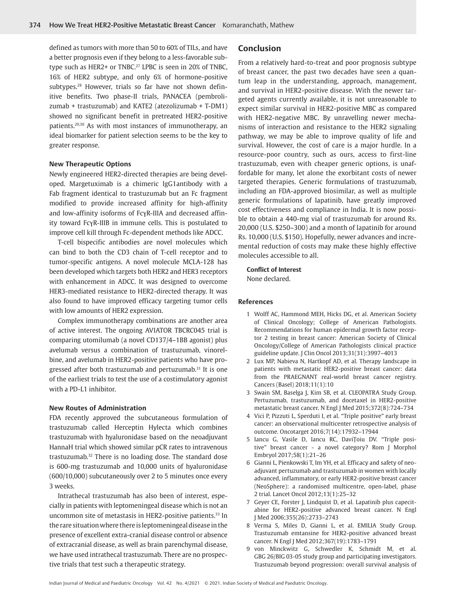defined as tumors with more than 50 to 60% of TILs, and have a better prognosis even if they belong to a less-favorable subtype such as HER2+ or TNBC.<sup>27</sup> LPBC is seen in 20% of TNBC, 16% of HER2 subtype, and only 6% of hormone-positive subtypes.<sup>28</sup> However, trials so far have not shown definitive benefits. Two phase-II trials, PANACEA (pembrolizumab + trastuzumab) and KATE2 (atezolizumab + T-DM1) showed no significant benefit in pretreated HER2-positive patients.29,30 As with most instances of immunotherapy, an ideal biomarker for patient selection seems to be the key to greater response.

#### **New Therapeutic Options**

Newly engineered HER2-directed therapies are being developed. Margetuximab is a chimeric IgG1antibody with a Fab fragment identical to trastuzumab but an Fc fragment modified to provide increased affinity for high-affinity and low-affinity isoforms of FcγR-IIIA and decreased affinity toward FcγR-IIIB in immune cells. This is postulated to improve cell kill through Fc-dependent methods like ADCC.

T-cell bispecific antibodies are novel molecules which can bind to both the CD3 chain of T-cell receptor and to tumor-specific antigens. A novel molecule MCLA-128 has been developed which targets both HER2 and HER3 receptors with enhancement in ADCC. It was designed to overcome HER3-mediated resistance to HER2-directed therapy. It was also found to have improved efficacy targeting tumor cells with low amounts of HER2 expression.

Complex immunotherapy combinations are another area of active interest. The ongoing AVIATOR TBCRC045 trial is comparing utomilumab (a novel CD137/4–1BB agonist) plus avelumab versus a combination of trastuzumab, vinorelbine, and avelumab in HER2-positive patients who have progressed after both trastuzumab and pertuzumab.<sup>31</sup> It is one of the earliest trials to test the use of a costimulatory agonist with a PD-L1 inhibitor.

## **New Routes of Administration**

FDA recently approved the subcutaneous formulation of trastuzumab called Herceptin Hylecta which combines trastuzumab with hyaluronidase based on the neoadjuvant HannaH trial which showed similar pCR rates to intravenous trastuzumab.32 There is no loading dose. The standard dose is 600-mg trastuzumab and 10,000 units of hyaluronidase (600/10,000) subcutaneously over 2 to 5 minutes once every 3 weeks.

Intrathecal trastuzumab has also been of interest, especially in patients with leptomeningeal disease which is not an uncommon site of metastasis in HER2-positive patients.<sup>33</sup> In the rare situation where there is leptomeningeal disease in the presence of excellent extra-cranial disease control or absence of extracranial disease, as well as brain parenchymal disease, we have used intrathecal trastuzumab. There are no prospective trials that test such a therapeutic strategy.

## **Conclusion**

From a relatively hard-to-treat and poor prognosis subtype of breast cancer, the past two decades have seen a quantum leap in the understanding, approach, management, and survival in HER2-positive disease. With the newer targeted agents currently available, it is not unreasonable to expect similar survival in HER2-positive MBC as compared with HER2-negative MBC. By unravelling newer mechanisms of interaction and resistance to the HER2 signaling pathway, we may be able to improve quality of life and survival. However, the cost of care is a major hurdle. In a resource-poor country, such as ours, access to first-line trastuzumab, even with cheaper generic options, is unaffordable for many, let alone the exorbitant costs of newer targeted therapies. Generic formulations of trastuzumab, including an FDA-approved biosimilar, as well as multiple generic formulations of lapatinib, have greatly improved cost effectiveness and compliance in India. It is now possible to obtain a 440-mg vial of trastuzumab for around Rs. 20,000 (U.S. \$250–300) and a month of lapatinib for around Rs. 10,000 (U.S. \$150). Hopefully, newer advances and incremental reduction of costs may make these highly effective molecules accessible to all.

## **Conflict of Interest**

None declared.

#### **References**

- 1 Wolff AC, Hammond MEH, Hicks DG, et al. American Society of Clinical Oncology; College of American Pathologists. Recommendations for human epidermal growth factor receptor 2 testing in breast cancer: American Society of Clinical Oncology/College of American Pathologists clinical practice guideline update. J Clin Oncol 2013;31(31):3997–4013
- 2 Lux MP, Nabieva N, Hartkopf AD, et al. Therapy landscape in patients with metastatic HER2-positive breast cancer: data from the PRAEGNANT real-world breast cancer registry. Cancers (Basel) 2018;11(1):10
- 3 Swain SM, Baselga J, Kim SB, et al. CLEOPATRA Study Group. Pertuzumab, trastuzumab, and docetaxel in HER2-positive metastatic breast cancer. N Engl J Med 2015;372(8):724–734
- 4 Vici P, Pizzuti L, Sperduti I, et al. "Triple positive" early breast cancer: an observational multicenter retrospective analysis of outcome. Oncotarget 2016;7(14):17932–17944
- 5 Iancu G, Vasile D, Iancu RC, DaviŢoiu DV. "Triple positive" breast cancer - a novel category? Rom J Morphol Embryol 2017;58(1):21–26
- 6 Gianni L, Pienkowski T, Im YH, et al. Efficacy and safety of neoadjuvant pertuzumab and trastuzumab in women with locally advanced, inflammatory, or early HER2-positive breast cancer (NeoSphere): a randomised multicentre, open-label, phase 2 trial. Lancet Oncol 2012;13(1):25–32
- 7 Geyer CE, Forster J, Lindquist D, et al. Lapatinib plus capecitabine for HER2-positive advanced breast cancer. N Engl J Med 2006;355(26):2733–2743
- 8 Verma S, Miles D, Gianni L, et al. EMILIA Study Group. Trastuzumab emtansine for HER2-positive advanced breast cancer. N Engl J Med 2012;367(19):1783–1791
- 9 von Minckwitz G, Schwedler K, Schmidt M, et al. GBG 26/BIG 03-05 study group and participating investigators. Trastuzumab beyond progression: overall survival analysis of